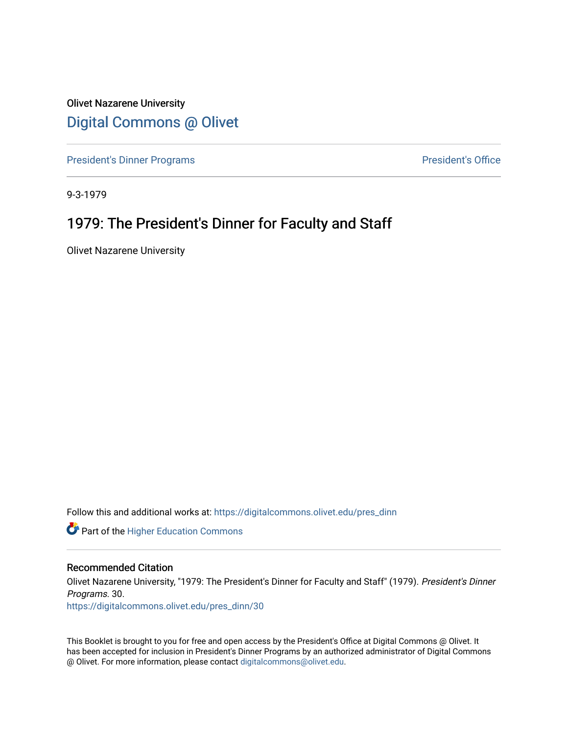Olivet Nazarene University [Digital Commons @ Olivet](https://digitalcommons.olivet.edu/)

[President's Dinner Programs](https://digitalcommons.olivet.edu/pres_dinn) **President's Office** 

9-3-1979

# 1979: The President's Dinner for Faculty and Staff

Olivet Nazarene University

Follow this and additional works at: [https://digitalcommons.olivet.edu/pres\\_dinn](https://digitalcommons.olivet.edu/pres_dinn?utm_source=digitalcommons.olivet.edu%2Fpres_dinn%2F30&utm_medium=PDF&utm_campaign=PDFCoverPages)

**Part of the Higher Education Commons** 

#### Recommended Citation

Olivet Nazarene University, "1979: The President's Dinner for Faculty and Staff" (1979). President's Dinner Programs. 30.

[https://digitalcommons.olivet.edu/pres\\_dinn/30](https://digitalcommons.olivet.edu/pres_dinn/30?utm_source=digitalcommons.olivet.edu%2Fpres_dinn%2F30&utm_medium=PDF&utm_campaign=PDFCoverPages) 

This Booklet is brought to you for free and open access by the President's Office at Digital Commons @ Olivet. It has been accepted for inclusion in President's Dinner Programs by an authorized administrator of Digital Commons @ Olivet. For more information, please contact [digitalcommons@olivet.edu.](mailto:digitalcommons@olivet.edu)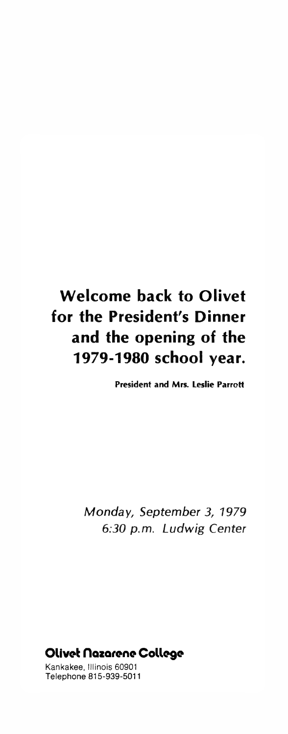# **Welcome back to Olivet for the President's Dinner and the opening of the 1979-1980 school year.**

**President and Mrs. Leslie Parrott**

*Monday, September 3, 1979 6:30 p.m. Ludwig Center*

Olivet Hazarene College

Kankakee, Illinois 60901 Telephone 815-939-5011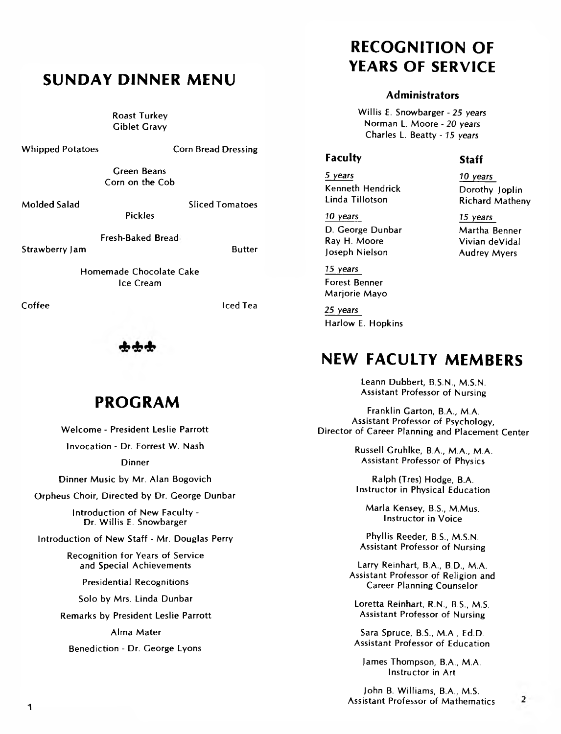# **SUNDAY DINNER MENU**

Roast Turkey **Giblet Gravy** 

Whipped Potatoes Corn Bread Dressing

Green Beans Corn on the Cob

Molded Salad Salam Sliced Tomatoes

Fresh-Baked Bread Strawberry Jam Butter

Pickles

Homemade Chocolate Cake Ice Cream

Coffee **Internal Coffee** Iced Tea

# **PROGRAM**

Welcome - President Leslie Parrott Invocation - Dr. Forrest W. Nash Dinner Dinner Music by Mr. Alan Bogovich Orpheus Choir, Directed by Dr. George Dunbar Introduction of New Faculty - Dr. Willis E. Snowbarger Introduction of New Staff - Mr. Douglas Perry Recognition for Years of Service and Special Achievements Presidential Recognitions Solo by Mrs. Linda Dunbar Remarks by President Leslie Parrott Alma Mater Benediction - Dr. George Lyons

# **RECOGNITION OF YEARS OF SERVICE**

#### **Administrators**

W illis E. Snowbarger - 25 *years* Norman L. Moore - *20 years* Charles L. Beatty - 75 *years*

### **Faculty Staff**

5 *years* 70 *years* Kenneth Hendrick<br>
Linda Tillotson<br>
Richard Mather

70 years 75 *years* D. George Dunbar Martha Benner Joseph Nielson Audrey Myers

75 *years* Forest Benner Marjorie Mayo

25 *years* Harlow E. Hopkins

# **NEW FACULTY MEMBERS**

Leann Dubbert, B.S.N., M.S.N. Assistant Professor of Nursing

Franklin Garton, B.A., M.A. Assistant Professor of Psychology, Director of Career Planning and Placement Center

> Russell Gruhlke, B.A., M.A., M.A. Assistant Professor of Physics

Ralph (Tres) Hodge, B.A. Instructor in Physical Education

Marla Kensey, B.S., M.Mus. Instructor in Voice

Phyllis Reeder, B.S., M.S.N. Assistant Professor of Nursing

Larry Reinhart, B.A., B.D., M.A. Assistant Professor of Religion and Career Planning Counselor

Loretta Reinhart, R.N., B.S., M.S. Assistant Professor of Nursing

Sara Spruce, B.S., M.A., Ed.D. Assistant Professor of Education

James Thompson, B.A., M.A. Instructor in Art

John B. Williams, B.A., M.S. Assistant Professor of Mathematics

 $\overline{2}$ 

**Richard Matheny** 

Vivian deVidal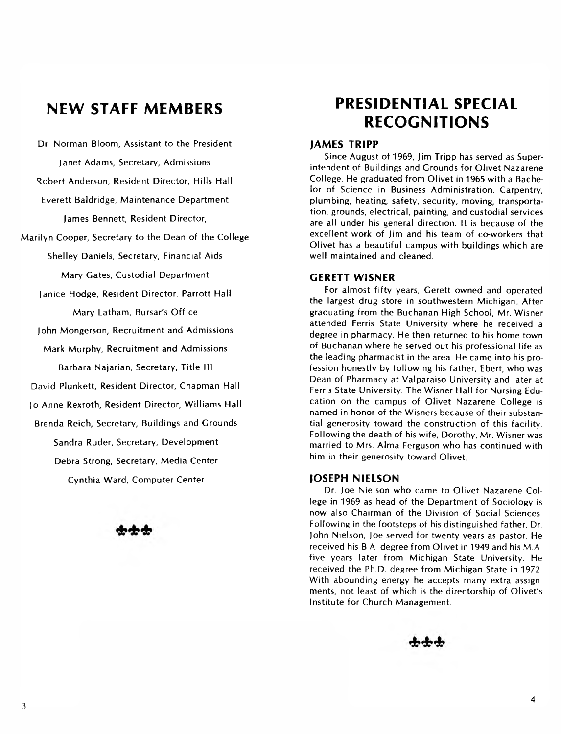Dr. Norman Bloom, Assistant to the President Janet Adams, Secretary, Admissions Robert Anderson, Resident Director, Hills Hall Everett Baldridge, Maintenance Department James Bennett, Resident Director, Marilyn Cooper, Secretary to the Dean of the College Shelley Daniels, Secretary, Financial Aids Mary Gates, Custodial Department Janice Hodge, Resident Director, Parrott Hall Mary Latham, Bursar's Office John Mongerson, Recruitment and Admissions Mark Murphy, Recruitment and Admissions Barbara Najarian, Secretary, Title III David Plunkett, Resident Director, Chapman Hall Jo Anne Rexroth, Resident Director, Williams Hall Brenda Reich, Secretary, Buildings and Grounds Sandra Ruder, Secretary, Development Debra Strong, Secretary, Media Center Cynthia Ward, Computer Center

# **NEW STAFF MEMBERS PRESIDENTIAL SPECIAL RECOGNITIONS**

#### **JAMES TRIPP**

Since August of 1969, Jim Tripp has served as Superintendent of Buildings and Grounds for Olivet Nazarene College. He graduated from Olivet in 1965 with a Bachelor of Science in Business Administration. Carpentry, plumbing, heating, safety, security, moving, transportation, grounds, electrical, painting, and custodial services are all under his general direction. It is because of the excellent work of Jim and his team of co-workers that Olivet has a beautiful campus with buildings which are well maintained and cleaned.

### **GERETT WISNER**

For almost fifty years, Gerett owned and operated the largest drug store in southwestern Michigan After graduating from the Buchanan High School, Mr. Wisner attended Ferris State University where he received a degree in pharmacy. He then returned to his home town of Buchanan where he served out his professional life as the leading pharm acist in the area. He came into his profession honestly by following his father, Ebert, who was Dean of Pharmacy at Valparaiso University and later at Ferris State University. The Wisner Hall for Nursing Education on the campus of Olivet Nazarene College is named in honor of the Wisners because of their substantial generosity toward the construction of this facility. Following the death of his wife, Dorothy, Mr. Wisner was married to Mrs. Alma Ferguson who has continued with him in their generosity toward Olivet.

#### **JOSEPH NIELSON**

Dr. Joe Nielson who came to Olivet Nazarene College in 1969 as head of the Department of Sociology is now also Chairman of the Division of Social Sciences. Following in the footsteps of his distinguished father, Dr. John Nielson, Joe served for twenty years as pastor. He received his B.A degree from Olivet in 1949 and his M.A. five years later from Michigan State University. He received the Ph.D. degree from Michigan State in 1972. With abounding energy he accepts many extra assignments, not least of which is the directorship of Olivet's Institute for Church Management.

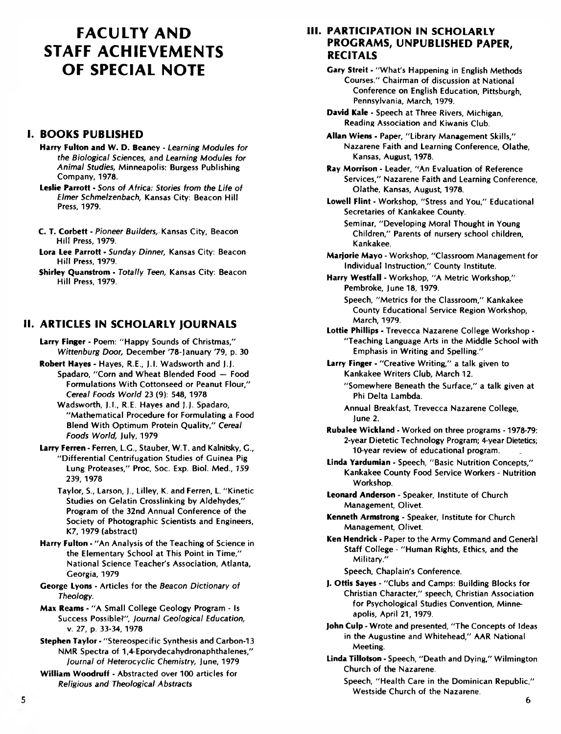# **FACULTY AND STAFF ACHIEVEMENTS OF SPECIAL NOTE**

# **I. BOOKS PUBLISHED**

**Harry Fulton and W. D. Beaney** - *Learning Modules for the Biological Sciences,* and *Learning Modules for Animal Studies,* Minneapolis: Burgess Publishing Company, 1978.

**Leslie Parrott** - *Sons of Africa: Stories from the Life of Elmer Schmelzenbach,* Kansas City: Beacon Hill Press, 1979.

- **C. T. Corbett**  *Pioneer Builders,* Kansas City, Beacon Hill Press, 1979.
- **Lora Lee Parrott**  *Sunday Dinner,* Kansas City: Beacon Hill Press, 1979.

**Shirley Quanstrom** • *Totally Teen,* Kansas City: Beacon Hill Press, 1979.

# **II. ARTICLES IN SCHOLARLY JOURNALS**

**Larry Finger** - Poem: "Happy Sounds of Christmas," *Wittenburg Door,* December '78-January '79, p. 30

**Robert Hayes** - Hayes, R.E., J.l. Wadsworth and J.J. Spadaro, "Corn and Wheat Blended Food — Food Formulations With Cottonseed or Peanut Flour," *Cereal Foods World* 23 (9): 548,1978

Wadsworth, J.I., R.E. Hayes and J.J. Spadaro, "Mathematical Procedure for Formulating a Food Blend With Optimum Protein Quality," *Cereal Foods World,* July, 1979

**Larry Ferren** - Ferren, L.G., Stauber, W.T. and Kalnitsky, G., "Differential Centrifugation Studies of Guinea Pig Lung Proteases," Proc, Soc. Exp. Biol. Med., *159* 239,1978

Taylor, S., Larson, J., Lilley, K. and Ferren, L. "Kinetic Studies on Gelatin Crosslinking by Aldehydes," Program of the 32nd Annual Conference of the Society of Photographic Scientists and Engineers, K7, 1979 (abstract)

**Harry Fulton** - "An Analysis of the Teaching of Science in the Elementary School at This Point in Time," National Science Teacher's Association, Atlanta, Georgia, 1979

**George Lyons** - Articles for the *Beacon Dictionary of Theology.*

**Max Reams** - "A Small College Geology Program - Is Success Possible?", *journal Geological Education,* v. 27, p. 33-34, 1978

**Stephen Taylor** - "Stereospecific Synthesis and Carbon-13 NMR Spectra of 1,4-Eporydecahydronaphthalenes," *journal of Heterocyclic Chemistry,* June, 1979

**William Woodruff** - Abstracted over 100 articles for *Religious and Theological Abstracts*

## **III. PARTICIPATION IN SCHOLARLY PROGRAMS, UNPUBLISHED PAPER, RECITALS**

**Gary Streit** - "What's Happening in English Methods Courses." Chairman of discussion at National Conference on English Education, Pittsburgh, Pennsylvania, March, 1979.

**David Kale** - Speech at Three Rivers, Michigan, Reading Association and Kiwanis Club.

**Allan Wiens** - Paper, "Library Management Skills," Nazarene Faith and Learning Conference, Olathe, Kansas, August, 1978.

**Ray Morrison** - Leader, "An Evaluation of Reference Services," Nazarene Faith and Learning Conference, Olathe, Kansas, August, 1978.

**Lowell Flint** - Workshop, "Stress and You," Educational Secretaries of Kankakee County.

Seminar, "Developing Moral Thought in Young Children," Parents of nursery school children, Kankakee.

**Marjorie Mayo** - Workshop, "Classroom Management for Individual Instruction," County Institute.

**Harry Westfall** - Workshop, "A Metric Workshop," Pembroke, June 18,1979.

Speech, "Metrics for the Classroom," Kankakee County Educational Service Region Workshop, March, 1979.

**Lottie Phillips** - Trevecca Nazarene College Workshop - "Teaching Language Arts in the Middle School with Emphasis in Writing and Spelling."

**Larry Finger** - "Creative Writing," a talk given to Kankakee Writers Club, March 12.

"Somewhere Beneath the Surface," a talk given at Phi Delta Lambda.

Annual Breakfast, Trevecca Nazarene College, June 2.

**Rubalee Wickland** - Worked on three programs -1978-79: 2-year Dietetic Technology Program; 4-year Dietetics; 10-year review of educational program.

**Linda Yardumian** - Speech, "Basic Nutrition Concepts," Kankakee County Food Service Workers - Nutrition Workshop.

**Leonard Anderson** - Speaker, Institute of Church Management, Olivet.

**Kenneth Armstrong** - Speaker, Institute for Church Management, Olivet.

**Ken Hendrick** - Paper to the Army Command and Generkl Staff College - "Human Rights, Ethics, and the Military."

Speech, Chaplain's Conference.

**J. Ottis Sayes** - "Clubs and Camps: Building Blocks for Christian Character," speech, Christian Association for Psychological Studies Convention, Minneapolis, April 21,1979.

**John Culp** - Wrote and presented, "The Concepts of Ideas in the Augustine and Whitehead," AAR National Meeting.

**Linda Tillotson** - Speech, "Death and Dying," Wilmington Church of the Nazarene.

Speech, "Health Care in the Dominican Republic," Westside Church of the Nazarene.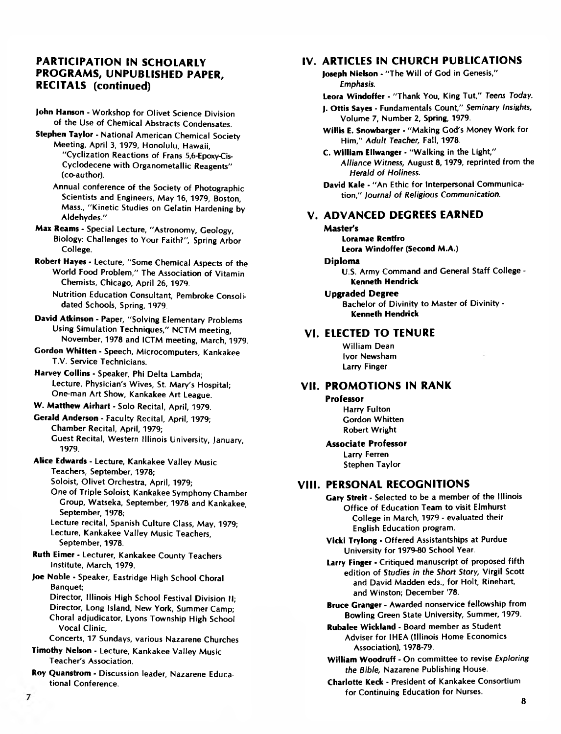## **PARTICIPATION IN SCHOLARLY PROGRAMS, UNPUBLISHED PAPER, RECITALS (continued)**

- **John Hanson**  Workshop for Olivet Science Division of the Use of Chemical Abstracts Condensates.
- **Stephen Taylor**  National American Chemical Society Meeting, April 3, 1979, Honolulu, Hawaii, "Cyclization Reactions of Frans 5,6-Epoxy-Cis-Cyclodecene with Organometallic Reagents" (co-author).
	- Annual conference of the Society of Photographic Scientists and Engineers, May 16, 1979, Boston, Mass., " Kinetic Studies on Gelatin Hardening by Aldehydes."
- **Max Reams**  Special Lecture, "Astronomy, Geology, Biology: Challenges to Your Faith?", Spring Arbor College.
- **Robert Hayes**  Lecture, "Some Chemical Aspects of the World Food Problem," The Association of Vitamin Chemists, Chicago, April 26,1979.
	- Nutrition Education Consultant, Pembroke Consolidated Schools, Spring, 1979.
- **David Atkinson**  Paper, "Solving Elementary Problems Using Simulation Techniques," NCTM meeting, November, 1978 and ICTM meeting, March, 1979.
- **Gordon Whitten**  Speech, Microcomputers, Kankakee T.V. Service Technicians.
- **Harvey Collins**  Speaker, Phi Delta Lambda; Lecture, Physician's Wives, St. Mary's Hospital; One-man Art Show, Kankakee Art League.
- **W. Matthew Airhart**  Solo Recital, April, 1979.
- **Gerald Anderson**  Faculty Recital, April, 1979; Chamber Recital, April, 1979; Guest Recital, Western Illinois University, January, 1979.
- **Alice Edwards**  Lecture, Kankakee Valley Music Teachers, September, 1978; Soloist, Olivet Orchestra, April, 1979;
	- One of Triple Soloist, Kankakee Symphony Chamber Group, Watseka, September, 1978 and Kankakee, September, 1978;
	- Lecture recital, Spanish Culture Class, May, 1979; Lecture, Kankakee Valley Music Teachers, September, 1978.
- **Ruth Eimer**  Lecturer, Kankakee County Teachers Institute, March, 1979.
- **Joe Noble**  Speaker, Eastridge High School Choral Banquet;
	- Director, Illinois High School Festival Division II; Director, Long Island, New York, Summer Camp;
	- Choral adjudicator, Lyons Township High School Vocal Clinic;
	- Concerts, 17 Sundays, various Nazarene Churches
- **Timothy Nelson**  Lecture, Kankakee Valley Music Teacher's Association.
- **Roy Quanstrom**  Discussion leader, Nazarene Educational Conference.

## **IV. ARTICLES IN CHURCH PUBLICATIONS**

- **Joseph Nielson**  "The Will of God in Genesis," *Emphasis.*
- **Leora Windoffer**  "Thank You, King Tut," *Teens Today.*
- **J. Ottis Sayes**  Fundamentals Count," *Seminary Insights,* Volume 7, Number 2, Spring, 1979.
- **Willis E. Snowbarger**  "Making God's Money Work for Him," *Adult Teacher,* Fall, 1978.
- **C. William Ellwanger**  "Walking in the Light," *Alliance Witness,* August 8,1979, reprinted from the *Herald of Holiness.*
- **David Kale**  "An Ethic for Interpersonal Communication," *lournal of Religious Communication.*

## **V. ADVANCED DEGREES EARNED**

- **Master's Loramae Rentfro Leora Windoffer (Second M.A.)**
- **Diploma**
	- U.S. Army Command and General Staff College **Kenneth Hendrick**
- **Upgraded Degree**

Bachelor of Divinity to Master of Divinity - **Kenneth Hendrick**

## **VI. ELECTED TO TENURE**

William Dean Ivor Newsham Larry Finger

### **VII. PROMOTIONS IN RANK**

#### **Professor**

Harry Fulton Gordon Whitten Robert Wright

## **Associate Professor**

Larry Ferren Stephen Taylor

## **VIII. PERSONAL RECOGNITIONS**

- **Gary Streit**  Selected to be a member of the Illinois Office of Education Team to visit Elmhurst College in March, 1979 - evaluated their English Education program.
- **Vicki Try long**  Offered Assistantships at Purdue University for 1979-80 School Year.
- **Larry Finger**  Critiqued manuscript of proposed fifth edition of *Studies in the Short Story,* Virgil Scott and David Madden eds., for Holt, Rinehart, and Winston; December '78.
- **Bruce Granger**  Awarded nonservice fellowship from Bowling Green State University, Summer, 1979.
- **Rubalee Wickland**  Board member as Student Adviser for IHEA (Illinois Home Economics Association), 1978-79.
- **William Woodruff**  On committee to revise *Exploring the Bible,* Nazarene Publishing House.
- **Charlotte Keck**  President of Kankakee Consortium for Continuing Education for Nurses.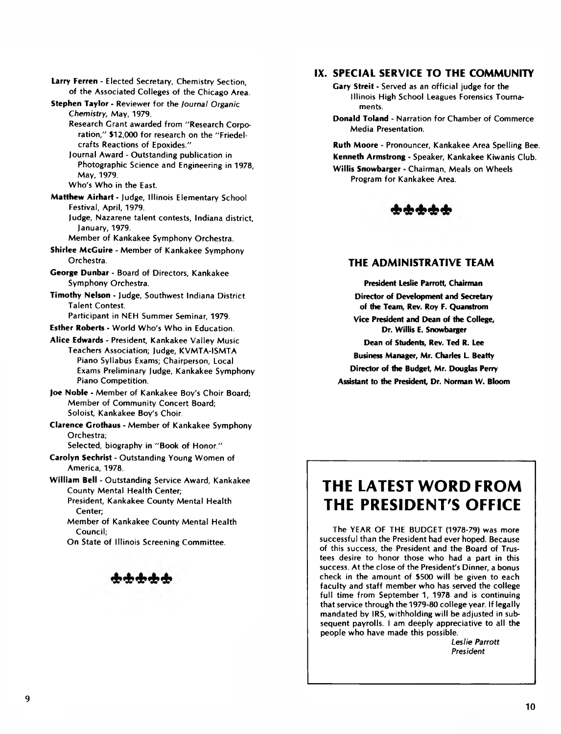**Larry Ferren** - Elected Secretary, Chemistry Section, of the Associated Colleges of the Chicago Area.

**Stephen Taylor** - Reviewer for the *Journal Organic Chemistry,* May, 1979.

Research Grant awarded from "Research Corporation," \$12,000 for research on the "Friedelcrafts Reactions of Epoxides."

Journal Award - Outstanding publication in Photographic Science and Engineering in 1978, May, 1979.

Who's Who in the East.

**Matthew Airhart** - Judge, Illinois Elementary School Festival, April, 1979.

Judge, Nazarene talent contests, Indiana district, January, 1979.

Member of Kankakee Symphony Orchestra.

**Shirlee McGuire** - Member of Kankakee Symphony Orchestra.

- **George Dunbar**  Board of Directors, Kankakee Symphony Orchestra.
- **Timothy Nelson**  Judge, Southwest Indiana District Talent Contest.

Participant in NEH Summer Seminar, 1979.

- **Esther Roberts**  World Who's Who in Education.
- **Alice Edwards**  President, Kankakee Valley Music Teachers Association; Judge, KVMTA-ISMTA Piano Syllabus Exams; Chairperson, Local Exams Preliminary Judge, Kankakee Symphony Piano Competition.

**Joe Noble** - Member of Kankakee Boy's Choir Board; Member of Community Concert Board; Soloist, Kankakee Boy's Choir.

**Clarence Grothaus** - Member of Kankakee Symphony Orchestra;

Selected, biography in "Book of Honor."

**Carolyn Sechrist** - Outstanding Young Women of America, 1978.

**William Bell** - Outstanding Service Award, Kankakee County Mental Health Center;

President, Kankakee County Mental Health Center;

Member of Kankakee County Mental Health Council;

On State of Illinois Screening Committee.

ቁቁቁቁ

# **IX. SPECIAL SERVICE TO THE COMMUNITY**

**Gary Streit** - Served as an official judge for the Illinois High School Leagues Forensics Tournaments.

**Donald Toland** - Narration for Chamber of Commerce Media Presentation.

**Ruth Moore** - Pronouncer, Kankakee Area Spelling Bee. **Kenneth Armstrong** - Speaker, Kankakee Kiwanis Club. **Willis Snowbarger** - Chairman, Meals on Wheels Program for Kankakee Area.



#### **THE ADMINISTRATIVE TEAM**

**President Leslie Parrott, Chairman Director of Development and Secretary** *of* **the Team, Rev. Roy F. Quanstrom Vice President and Dean** *of* **the College, Dr. Willis E. Snowbarger Dean of Students, Rev. Ted R. Lee Business Manager, Mr. Charles L. Beatty**

**Director of the Budget, Mr. Douglas Perry** 

**Assistant to the President, Dr. Norman W. Bloom**

# **THE LATEST WORD FROM THE PRESIDENT'S OFFICE**

The YEAR OF THE BUDGET (1978-79) was more successful than the President had ever hoped. Because of this success, the President and the Board of Trustees desire to honor those who had a part in this success. At the close of the President's Dinner, a bonus check in the amount of \$500 will be given to each faculty and staff member who has served the college full time from September 1, 1978 and is continuing that service through the 1979-80 college year. If legally mandated by IRS, withholding will be adjusted in subsequent payrolls. I am deeply appreciative to all the people who have made this possible.

*Leslie Parrott President*